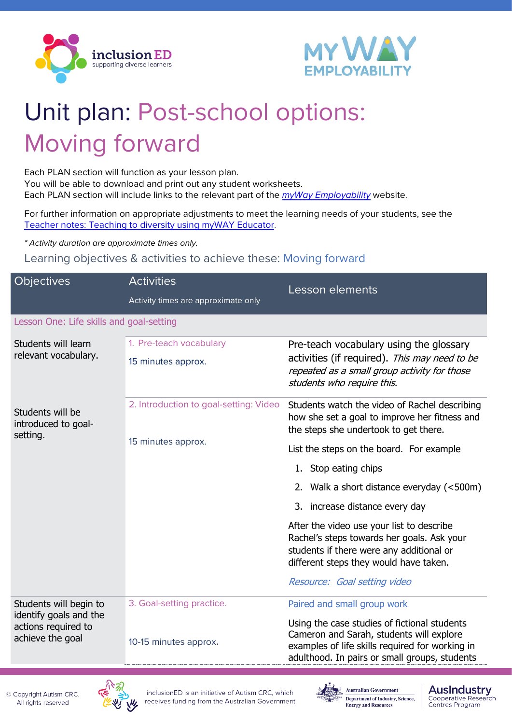



## Unit plan: Post-school options: Moving forward

Each PLAN section will function as your lesson plan. You will be able to download and print out any student worksheets. Each PLAN section will include links to the relevant part of the *[myWay Employability](https://www.mywayemployability.com.au/)* website.

For further information on appropriate adjustments to meet the learning needs of your students, see the [Teacher notes: Teaching to diversity using myWAY Educator.](https://cdn.inclusioned.edu.au/cdn/ff/EUJ3V6wXkX2rVAcgRHfpY1e00PDhBWbLJ5a_hBv7URI/1641635187/public/media/MWE-1_Self-Discovery_Teacher-notes.pdf)

*\* Activity duration are approximate times only.*

Learning objectives & activities to achieve these: Moving forward

| <b>Objectives</b>                                                                           | <b>Activities</b>                      | Lesson elements                                                                                                                                                                              |
|---------------------------------------------------------------------------------------------|----------------------------------------|----------------------------------------------------------------------------------------------------------------------------------------------------------------------------------------------|
|                                                                                             | Activity times are approximate only    |                                                                                                                                                                                              |
| Lesson One: Life skills and goal-setting                                                    |                                        |                                                                                                                                                                                              |
| Students will learn<br>relevant vocabulary.                                                 | 1. Pre-teach vocabulary                | Pre-teach vocabulary using the glossary<br>activities (if required). This may need to be<br>repeated as a small group activity for those<br>students who require this.                       |
|                                                                                             | 15 minutes approx.                     |                                                                                                                                                                                              |
| Students will be<br>introduced to goal-<br>setting.                                         | 2. Introduction to goal-setting: Video | Students watch the video of Rachel describing<br>how she set a goal to improve her fitness and<br>the steps she undertook to get there.                                                      |
|                                                                                             | 15 minutes approx.                     | List the steps on the board. For example                                                                                                                                                     |
|                                                                                             |                                        | 1. Stop eating chips                                                                                                                                                                         |
|                                                                                             |                                        | 2. Walk a short distance everyday (<500m)                                                                                                                                                    |
|                                                                                             |                                        | 3. increase distance every day                                                                                                                                                               |
|                                                                                             |                                        | After the video use your list to describe<br>Rachel's steps towards her goals. Ask your<br>students if there were any additional or<br>different steps they would have taken.                |
|                                                                                             |                                        | Resource: Goal setting video                                                                                                                                                                 |
| Students will begin to<br>identify goals and the<br>actions required to<br>achieve the goal | 3. Goal-setting practice.              | Paired and small group work                                                                                                                                                                  |
|                                                                                             | 10-15 minutes approx.                  | Using the case studies of fictional students<br>Cameron and Sarah, students will explore<br>examples of life skills required for working in<br>adulthood. In pairs or small groups, students |





**AusIndustry** 

Centres Program

Cooperative Research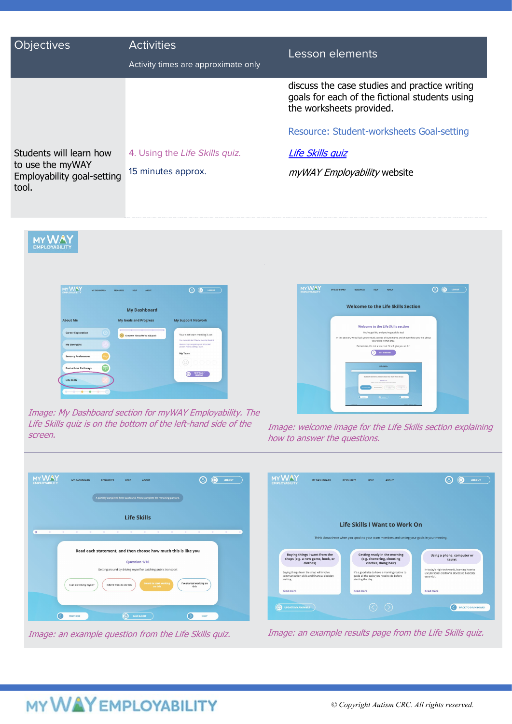| <b>Objectives</b>                                                                  | <b>Activities</b><br>Activity times are approximate only | Lesson elements                                                                                                             |
|------------------------------------------------------------------------------------|----------------------------------------------------------|-----------------------------------------------------------------------------------------------------------------------------|
|                                                                                    |                                                          | discuss the case studies and practice writing<br>goals for each of the fictional students using<br>the worksheets provided. |
|                                                                                    |                                                          | Resource: Student-worksheets Goal-setting                                                                                   |
| Students will learn how<br>to use the myWAY<br>Employability goal-setting<br>tool. | 4. Using the Life Skills quiz.                           | Life Skills quiz                                                                                                            |
|                                                                                    | 15 minutes approx.                                       | myWAY Employability website                                                                                                 |



 $\odot$   $\odot$   $\cdots$ 

Image: My Dashboard section for myWAY Employability. The Life Skills quiz is on the bottom of the left-hand side of the

**MYWAY** 

 $\overline{6}$ 

Life Skills quiz is on the bottom of the left-hand side of the Image: welcome image for the Life Skills section explaining<br>Screen. how to answer the questions.







Life Skills

Read each statement, and then choose how much this is like you

## **MY WAY EMPLOYABILITY**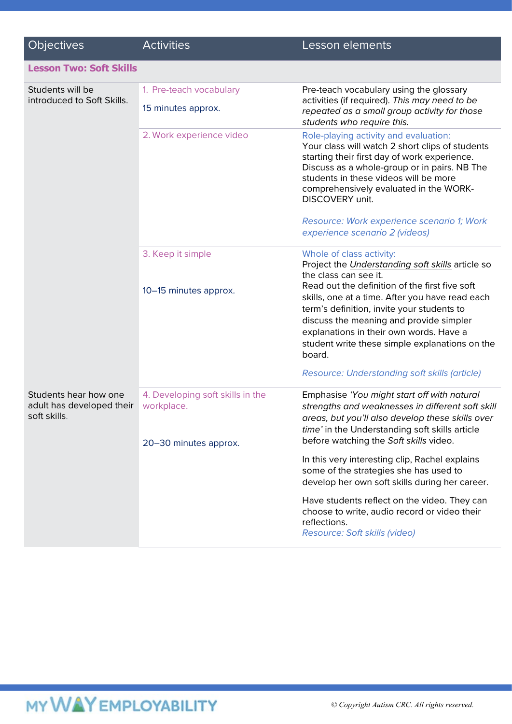| <b>Objectives</b>                                                  | <b>Activities</b>                              | Lesson elements                                                                                                                                                                                                                                                                                   |
|--------------------------------------------------------------------|------------------------------------------------|---------------------------------------------------------------------------------------------------------------------------------------------------------------------------------------------------------------------------------------------------------------------------------------------------|
| <b>Lesson Two: Soft Skills</b>                                     |                                                |                                                                                                                                                                                                                                                                                                   |
| Students will be<br>introduced to Soft Skills.                     | 1. Pre-teach vocabulary                        | Pre-teach vocabulary using the glossary<br>activities (if required). This may need to be<br>repeated as a small group activity for those<br>students who require this.                                                                                                                            |
|                                                                    | 15 minutes approx.                             |                                                                                                                                                                                                                                                                                                   |
|                                                                    | 2. Work experience video                       | Role-playing activity and evaluation:<br>Your class will watch 2 short clips of students<br>starting their first day of work experience.<br>Discuss as a whole-group or in pairs. NB The<br>students in these videos will be more<br>comprehensively evaluated in the WORK-<br>DISCOVERY unit.    |
|                                                                    |                                                | Resource: Work experience scenario 1; Work<br>experience scenario 2 (videos)                                                                                                                                                                                                                      |
|                                                                    | 3. Keep it simple                              | Whole of class activity:<br>Project the Understanding soft skills article so<br>the class can see it.                                                                                                                                                                                             |
|                                                                    | 10-15 minutes approx.                          | Read out the definition of the first five soft<br>skills, one at a time. After you have read each<br>term's definition, invite your students to<br>discuss the meaning and provide simpler<br>explanations in their own words. Have a<br>student write these simple explanations on the<br>board. |
|                                                                    |                                                | Resource: Understanding soft skills (article)                                                                                                                                                                                                                                                     |
| Students hear how one<br>adult has developed their<br>soft skills. | 4. Developing soft skills in the<br>workplace. | Emphasise 'You might start off with natural<br>strengths and weaknesses in different soft skill<br>areas, but you'll also develop these skills over<br>time' in the Understanding soft skills article<br>before watching the Soft skills video.                                                   |
|                                                                    | 20-30 minutes approx.                          |                                                                                                                                                                                                                                                                                                   |
|                                                                    |                                                | In this very interesting clip, Rachel explains<br>some of the strategies she has used to<br>develop her own soft skills during her career.                                                                                                                                                        |
|                                                                    |                                                | Have students reflect on the video. They can<br>choose to write, audio record or video their<br>reflections.<br>Resource: Soft skills (video)                                                                                                                                                     |

## MY WAY EMPLOYABILITY